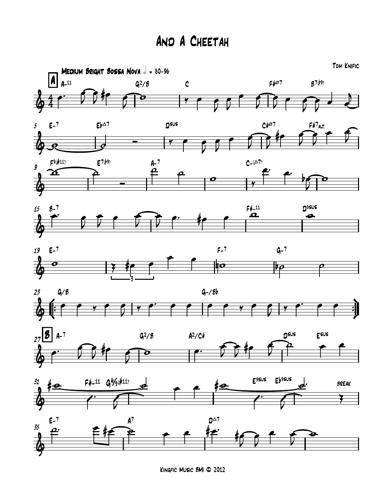## And A Cheetah



Kingfic Music BMI © 2012